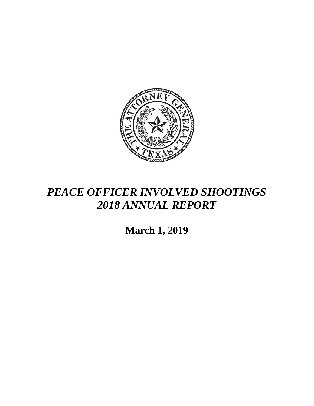

## *PEACE OFFICER INVOLVED SHOOTINGS 2018 ANNUAL REPORT*

**March 1, 2019**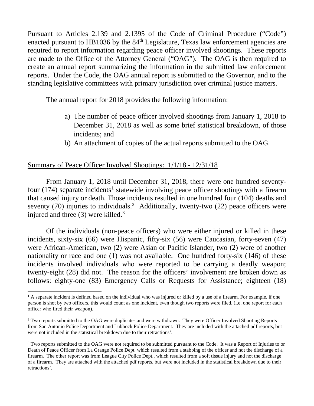Pursuant to Articles 2.139 and 2.1395 of the Code of Criminal Procedure ("Code") enacted pursuant to HB1036 by the  $84<sup>th</sup>$  Legislature, Texas law enforcement agencies are required to report information regarding peace officer involved shootings. These reports are made to the Office of the Attorney General ("OAG"). The OAG is then required to create an annual report summarizing the information in the submitted law enforcement reports. Under the Code, the OAG annual report is submitted to the Governor, and to the standing legislative committees with primary jurisdiction over criminal justice matters.

The annual report for 2018 provides the following information:

- a) The number of peace officer involved shootings from January 1, 2018 to December 31, 2018 as well as some brief statistical breakdown, of those incidents; and
- b) An attachment of copies of the actual reports submitted to the OAG.

## Summary of Peace Officer Involved Shootings: 1/1/18 - 12/31/18

From January 1, 2018 until December 31, 2018, there were one hundred seventyfour (174) separate incidents<sup>1</sup> statewide involving peace officer shootings with a firearm that caused injury or death. Those incidents resulted in one hundred four (104) deaths and seventy (70) injuries to individuals.<sup>[2](#page-1-1)</sup> Additionally, twenty-two (22) peace officers were injured and three  $(3)$  $(3)$  $(3)$  were killed.<sup>3</sup>

Of the individuals (non-peace officers) who were either injured or killed in these incidents, sixty-six (66) were Hispanic, fifty-six (56) were Caucasian, forty-seven (47) were African-American, two (2) were Asian or Pacific Islander, two (2) were of another nationality or race and one (1) was not available. One hundred forty-six (146) of these incidents involved individuals who were reported to be carrying a deadly weapon; twenty-eight (28) did not. The reason for the officers' involvement are broken down as follows: eighty-one (83) Emergency Calls or Requests for Assistance; eighteen (18)

<span id="page-1-0"></span> $\overline{a}$ **<sup>1</sup>** A separate incident is defined based on the individual who was injured or killed by a use of a firearm. For example, if one person is shot by two officers, this would count as one incident, even though two reports were filed. (i.e. one report for each officer who fired their weapon).

<span id="page-1-1"></span><sup>&</sup>lt;sup>2</sup> Two reports submitted to the OAG were duplicates and were withdrawn. They were Officer Involved Shooting Reports from San Antonio Police Department and Lubbock Police Department. They are included with the attached pdf reports, but were not included in the statistical breakdown due to their retractions'.

<span id="page-1-2"></span><sup>&</sup>lt;sup>3</sup> Two reports submitted to the OAG were not required to be submitted pursuant to the Code. It was a Report of Injuries to or Death of Peace Officer from La Grange Police Dept. which resulted from a stabbing of the officer and not the discharge of a firearm. The other report was from League City Police Dept., which resulted from a soft tissue injury and not the discharge of a firearm. They are attached with the attached pdf reports, but were not included in the statistical breakdown due to their retractions'.